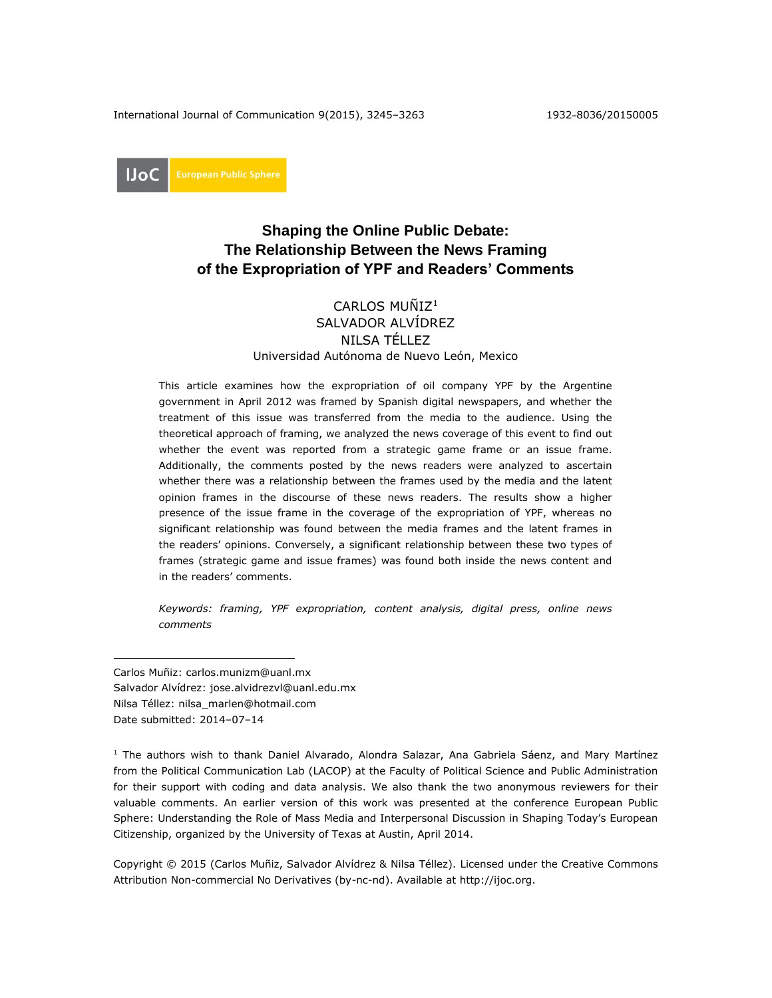International Journal of Communication 9(2015), 3245–3263 1932–8036/20150005

**IJoC** 

# **Shaping the Online Public Debate: The Relationship Between the News Framing of the Expropriation of YPF and Readers' Comments**

## CARLOS MUÑIZ<sup>1</sup> SALVADOR ALVÍDREZ NILSA TÉLLEZ Universidad Autónoma de Nuevo León, Mexico

This article examines how the expropriation of oil company YPF by the Argentine government in April 2012 was framed by Spanish digital newspapers, and whether the treatment of this issue was transferred from the media to the audience. Using the theoretical approach of framing, we analyzed the news coverage of this event to find out whether the event was reported from a strategic game frame or an issue frame. Additionally, the comments posted by the news readers were analyzed to ascertain whether there was a relationship between the frames used by the media and the latent opinion frames in the discourse of these news readers. The results show a higher presence of the issue frame in the coverage of the expropriation of YPF, whereas no significant relationship was found between the media frames and the latent frames in the readers' opinions. Conversely, a significant relationship between these two types of frames (strategic game and issue frames) was found both inside the news content and in the readers' comments.

*Keywords: framing, YPF expropriation, content analysis, digital press, online news comments*

Carlos Muñiz: [carlos.munizm@uanl.mx](mailto:carlos.munizm@uanl.mx) Salvador Alvídrez: [jose.alvidrezvl@uanl.edu.mx](mailto:jose.alvidrezvl@uanl.edu.mx) Nilsa Téllez: [nilsa\\_marlen@hotmail.com](mailto:nilsa_marlen@hotmail.com) Date submitted: 2014–07–14

 $\overline{a}$ 

<sup>1</sup> The authors wish to thank Daniel Alvarado, Alondra Salazar, Ana Gabriela Sáenz, and Mary Martínez from the Political Communication Lab (LACOP) at the Faculty of Political Science and Public Administration for their support with coding and data analysis. We also thank the two anonymous reviewers for their valuable comments. An earlier version of this work was presented at the conference European Public Sphere: Understanding the Role of Mass Media and Interpersonal Discussion in Shaping Today's European Citizenship, organized by the University of Texas at Austin, April 2014.

Copyright © 2015 (Carlos Muñiz, Salvador Alvídrez & Nilsa Téllez). Licensed under the Creative Commons Attribution Non-commercial No Derivatives (by-nc-nd). Available at [http://ijoc.org.](http://ijoc.org/)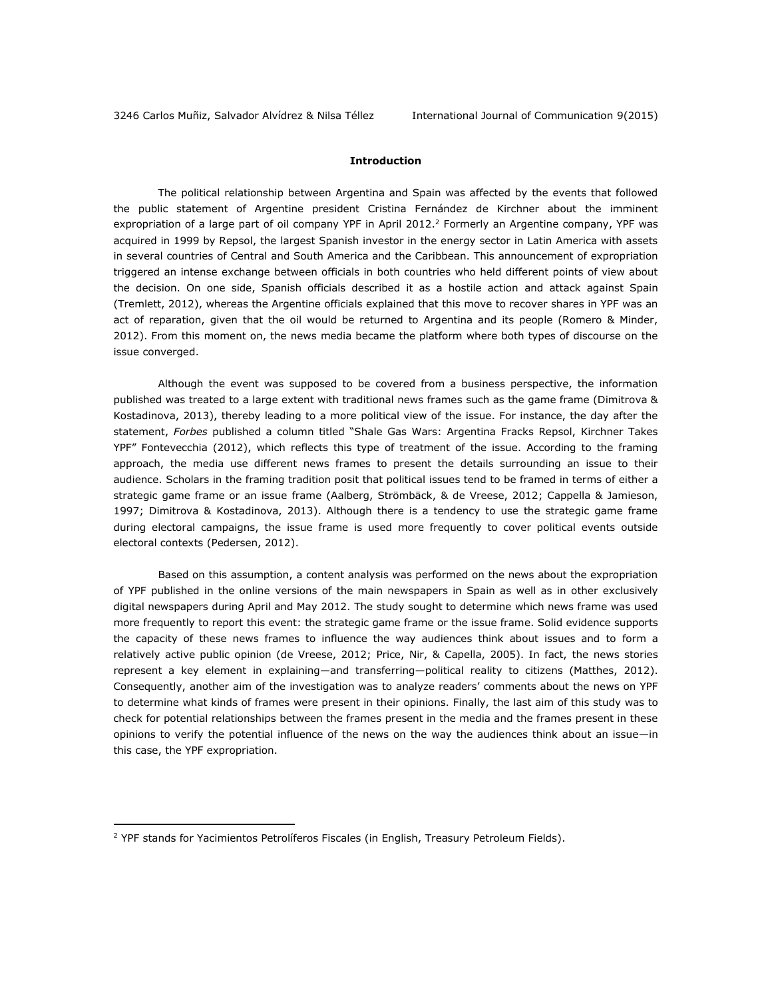## **Introduction**

The political relationship between Argentina and Spain was affected by the events that followed the public statement of Argentine president Cristina Fernández de Kirchner about the imminent expropriation of a large part of oil company YPF in April 2012.<sup>2</sup> Formerly an Argentine company, YPF was acquired in 1999 by Repsol, the largest Spanish investor in the energy sector in Latin America with assets in several countries of Central and South America and the Caribbean. This announcement of expropriation triggered an intense exchange between officials in both countries who held different points of view about the decision. On one side, Spanish officials described it as a hostile action and attack against Spain (Tremlett, 2012), whereas the Argentine officials explained that this move to recover shares in YPF was an act of reparation, given that the oil would be returned to Argentina and its people (Romero & Minder, 2012). From this moment on, the news media became the platform where both types of discourse on the issue converged.

Although the event was supposed to be covered from a business perspective, the information published was treated to a large extent with traditional news frames such as the game frame (Dimitrova & Kostadinova, 2013), thereby leading to a more political view of the issue. For instance, the day after the statement, *Forbes* published a column titled "Shale Gas Wars: Argentina Fracks Repsol, Kirchner Takes YPF" Fontevecchia (2012), which reflects this type of treatment of the issue. According to the framing approach, the media use different news frames to present the details surrounding an issue to their audience. Scholars in the framing tradition posit that political issues tend to be framed in terms of either a strategic game frame or an issue frame (Aalberg, Strömbäck, & de Vreese, 2012; Cappella & Jamieson, 1997; Dimitrova & Kostadinova, 2013). Although there is a tendency to use the strategic game frame during electoral campaigns, the issue frame is used more frequently to cover political events outside electoral contexts (Pedersen, 2012).

Based on this assumption, a content analysis was performed on the news about the expropriation of YPF published in the online versions of the main newspapers in Spain as well as in other exclusively digital newspapers during April and May 2012. The study sought to determine which news frame was used more frequently to report this event: the strategic game frame or the issue frame. Solid evidence supports the capacity of these news frames to influence the way audiences think about issues and to form a relatively active public opinion (de Vreese, 2012; Price, Nir, & Capella, 2005). In fact, the news stories represent a key element in explaining—and transferring—political reality to citizens (Matthes, 2012). Consequently, another aim of the investigation was to analyze readers' comments about the news on YPF to determine what kinds of frames were present in their opinions. Finally, the last aim of this study was to check for potential relationships between the frames present in the media and the frames present in these opinions to verify the potential influence of the news on the way the audiences think about an issue—in this case, the YPF expropriation.

 $\overline{a}$ 

<sup>&</sup>lt;sup>2</sup> YPF stands for Yacimientos Petrolíferos Fiscales (in English, Treasury Petroleum Fields).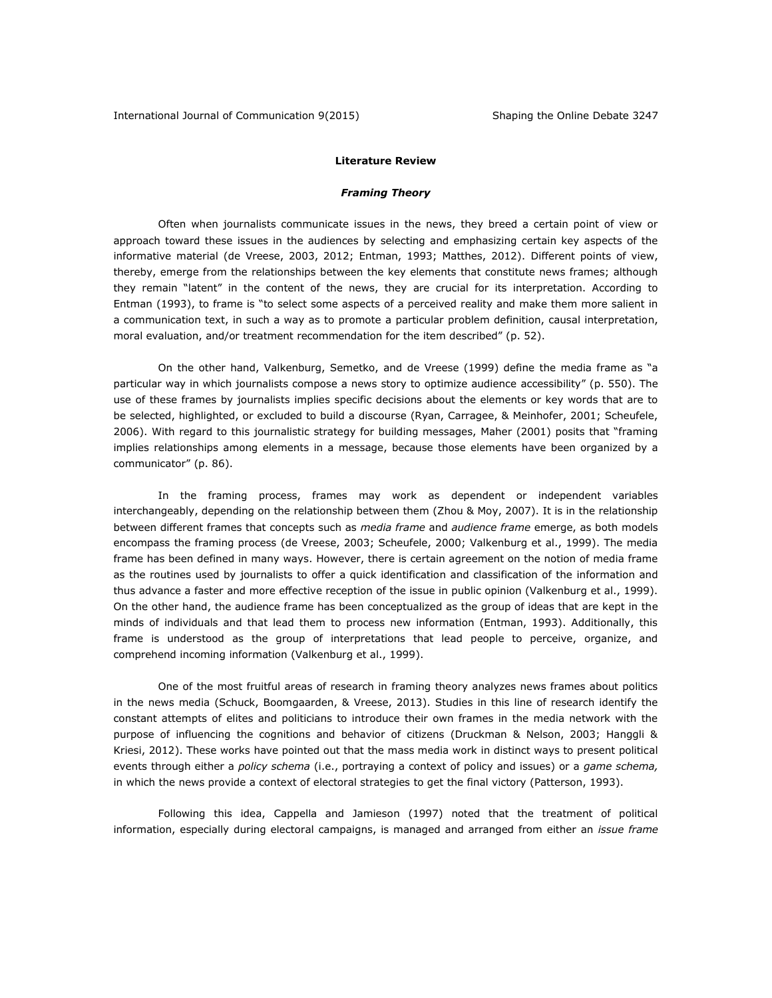#### **Literature Review**

## *Framing Theory*

Often when journalists communicate issues in the news, they breed a certain point of view or approach toward these issues in the audiences by selecting and emphasizing certain key aspects of the informative material (de Vreese, 2003, 2012; Entman, 1993; Matthes, 2012). Different points of view, thereby, emerge from the relationships between the key elements that constitute news frames; although they remain "latent" in the content of the news, they are crucial for its interpretation. According to Entman (1993), to frame is "to select some aspects of a perceived reality and make them more salient in a communication text, in such a way as to promote a particular problem definition, causal interpretation, moral evaluation, and/or treatment recommendation for the item described" (p. 52).

On the other hand, Valkenburg, Semetko, and de Vreese (1999) define the media frame as "a particular way in which journalists compose a news story to optimize audience accessibility" (p. 550). The use of these frames by journalists implies specific decisions about the elements or key words that are to be selected, highlighted, or excluded to build a discourse (Ryan, Carragee, & Meinhofer, 2001; Scheufele, 2006). With regard to this journalistic strategy for building messages, Maher (2001) posits that "framing implies relationships among elements in a message, because those elements have been organized by a communicator" (p. 86).

In the framing process, frames may work as dependent or independent variables interchangeably, depending on the relationship between them (Zhou & Moy, 2007). It is in the relationship between different frames that concepts such as *media frame* and *audience frame* emerge, as both models encompass the framing process (de Vreese, 2003; Scheufele, 2000; Valkenburg et al., 1999). The media frame has been defined in many ways. However, there is certain agreement on the notion of media frame as the routines used by journalists to offer a quick identification and classification of the information and thus advance a faster and more effective reception of the issue in public opinion (Valkenburg et al., 1999). On the other hand, the audience frame has been conceptualized as the group of ideas that are kept in the minds of individuals and that lead them to process new information (Entman, 1993). Additionally, this frame is understood as the group of interpretations that lead people to perceive, organize, and comprehend incoming information (Valkenburg et al., 1999).

One of the most fruitful areas of research in framing theory analyzes news frames about politics in the news media (Schuck, Boomgaarden, & Vreese, 2013). Studies in this line of research identify the constant attempts of elites and politicians to introduce their own frames in the media network with the purpose of influencing the cognitions and behavior of citizens (Druckman & Nelson, 2003; Hanggli & Kriesi, 2012). These works have pointed out that the mass media work in distinct ways to present political events through either a *policy schema* (i.e., portraying a context of policy and issues) or a *game schema,* in which the news provide a context of electoral strategies to get the final victory (Patterson, 1993).

Following this idea, Cappella and Jamieson (1997) noted that the treatment of political information, especially during electoral campaigns, is managed and arranged from either an *issue frame*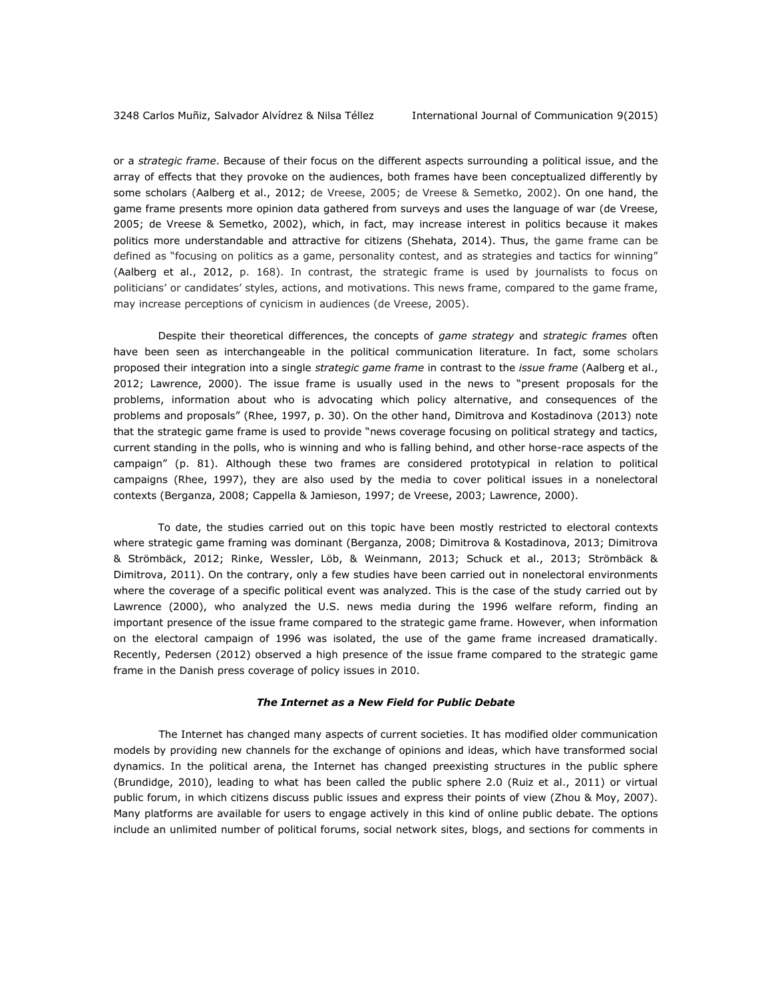or a *strategic frame*. Because of their focus on the different aspects surrounding a political issue, and the array of effects that they provoke on the audiences, both frames have been conceptualized differently by some scholars (Aalberg et al., 2012; de Vreese, 2005; de Vreese & Semetko, 2002). On one hand, the game frame presents more opinion data gathered from surveys and uses the language of war (de Vreese, 2005; de Vreese & Semetko, 2002), which, in fact, may increase interest in politics because it makes politics more understandable and attractive for citizens (Shehata, 2014). Thus, the game frame can be defined as "focusing on politics as a game, personality contest, and as strategies and tactics for winning" (Aalberg et al., 2012, p. 168). In contrast, the strategic frame is used by journalists to focus on politicians' or candidates' styles, actions, and motivations. This news frame, compared to the game frame, may increase perceptions of cynicism in audiences (de Vreese, 2005).

Despite their theoretical differences, the concepts of *game strategy* and *strategic frames* often have been seen as interchangeable in the political communication literature. In fact, some scholars proposed their integration into a single *strategic game frame* in contrast to the *issue frame* (Aalberg et al., 2012; Lawrence, 2000). The issue frame is usually used in the news to "present proposals for the problems, information about who is advocating which policy alternative, and consequences of the problems and proposals" (Rhee, 1997, p. 30). On the other hand, Dimitrova and Kostadinova (2013) note that the strategic game frame is used to provide "news coverage focusing on political strategy and tactics, current standing in the polls, who is winning and who is falling behind, and other horse-race aspects of the campaign" (p. 81). Although these two frames are considered prototypical in relation to political campaigns (Rhee, 1997), they are also used by the media to cover political issues in a nonelectoral contexts (Berganza, 2008; Cappella & Jamieson, 1997; de Vreese, 2003; Lawrence, 2000).

To date, the studies carried out on this topic have been mostly restricted to electoral contexts where strategic game framing was dominant (Berganza, 2008; Dimitrova & Kostadinova, 2013; Dimitrova & Strömbäck, 2012; Rinke, Wessler, Löb, & Weinmann, 2013; Schuck et al., 2013; Strömbäck & Dimitrova, 2011). On the contrary, only a few studies have been carried out in nonelectoral environments where the coverage of a specific political event was analyzed. This is the case of the study carried out by Lawrence (2000), who analyzed the U.S. news media during the 1996 welfare reform, finding an important presence of the issue frame compared to the strategic game frame. However, when information on the electoral campaign of 1996 was isolated, the use of the game frame increased dramatically. Recently, Pedersen (2012) observed a high presence of the issue frame compared to the strategic game frame in the Danish press coverage of policy issues in 2010.

#### *The Internet as a New Field for Public Debate*

The Internet has changed many aspects of current societies. It has modified older communication models by providing new channels for the exchange of opinions and ideas, which have transformed social dynamics. In the political arena, the Internet has changed preexisting structures in the public sphere (Brundidge, 2010), leading to what has been called the public sphere 2.0 (Ruiz et al., 2011) or virtual public forum, in which citizens discuss public issues and express their points of view (Zhou & Moy, 2007). Many platforms are available for users to engage actively in this kind of online public debate. The options include an unlimited number of political forums, social network sites, blogs, and sections for comments in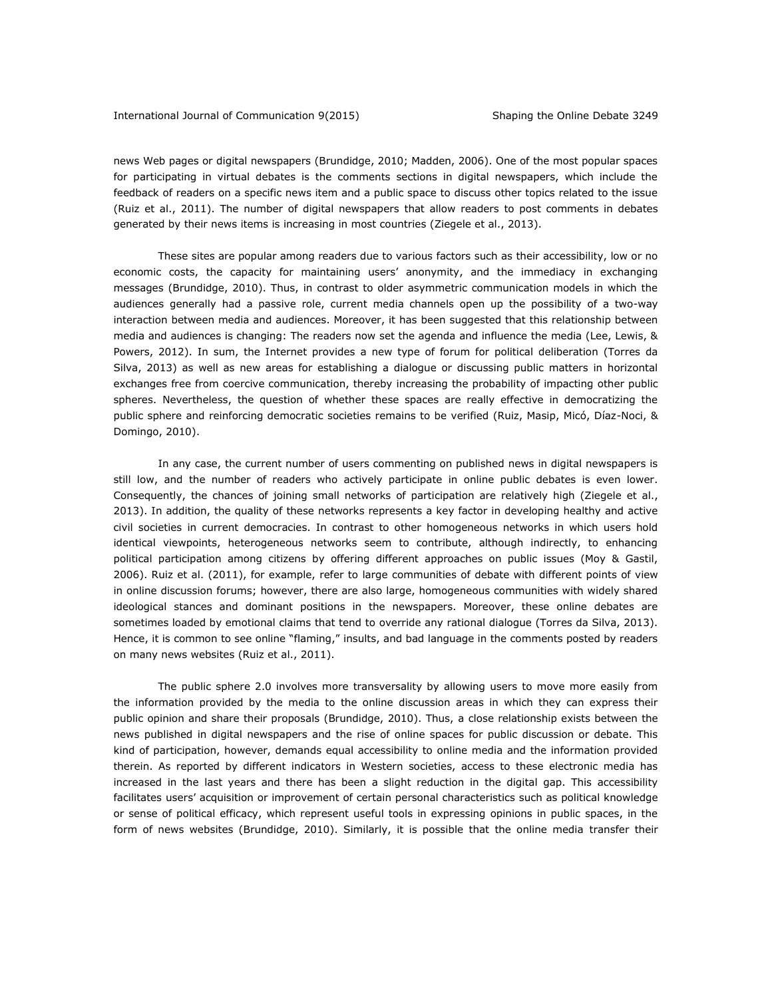### International Journal of Communication 9(2015) Shaping the Online Debate 3249

news Web pages or digital newspapers (Brundidge, 2010; Madden, 2006). One of the most popular spaces for participating in virtual debates is the comments sections in digital newspapers, which include the feedback of readers on a specific news item and a public space to discuss other topics related to the issue (Ruiz et al., 2011). The number of digital newspapers that allow readers to post comments in debates generated by their news items is increasing in most countries (Ziegele et al., 2013).

These sites are popular among readers due to various factors such as their accessibility, low or no economic costs, the capacity for maintaining users' anonymity, and the immediacy in exchanging messages (Brundidge, 2010). Thus, in contrast to older asymmetric communication models in which the audiences generally had a passive role, current media channels open up the possibility of a two-way interaction between media and audiences. Moreover, it has been suggested that this relationship between media and audiences is changing: The readers now set the agenda and influence the media (Lee, Lewis, & Powers, 2012). In sum, the Internet provides a new type of forum for political deliberation (Torres da Silva, 2013) as well as new areas for establishing a dialogue or discussing public matters in horizontal exchanges free from coercive communication, thereby increasing the probability of impacting other public spheres. Nevertheless, the question of whether these spaces are really effective in democratizing the public sphere and reinforcing democratic societies remains to be verified (Ruiz, Masip, Micó, Díaz-Noci, & Domingo, 2010).

In any case, the current number of users commenting on published news in digital newspapers is still low, and the number of readers who actively participate in online public debates is even lower. Consequently, the chances of joining small networks of participation are relatively high (Ziegele et al., 2013). In addition, the quality of these networks represents a key factor in developing healthy and active civil societies in current democracies. In contrast to other homogeneous networks in which users hold identical viewpoints, heterogeneous networks seem to contribute, although indirectly, to enhancing political participation among citizens by offering different approaches on public issues (Moy & Gastil, 2006). Ruiz et al. (2011), for example, refer to large communities of debate with different points of view in online discussion forums; however, there are also large, homogeneous communities with widely shared ideological stances and dominant positions in the newspapers. Moreover, these online debates are sometimes loaded by emotional claims that tend to override any rational dialogue (Torres da Silva, 2013). Hence, it is common to see online "flaming," insults, and bad language in the comments posted by readers on many news websites (Ruiz et al., 2011).

The public sphere 2.0 involves more transversality by allowing users to move more easily from the information provided by the media to the online discussion areas in which they can express their public opinion and share their proposals (Brundidge, 2010). Thus, a close relationship exists between the news published in digital newspapers and the rise of online spaces for public discussion or debate. This kind of participation, however, demands equal accessibility to online media and the information provided therein. As reported by different indicators in Western societies, access to these electronic media has increased in the last years and there has been a slight reduction in the digital gap. This accessibility facilitates users' acquisition or improvement of certain personal characteristics such as political knowledge or sense of political efficacy, which represent useful tools in expressing opinions in public spaces, in the form of news websites (Brundidge, 2010). Similarly, it is possible that the online media transfer their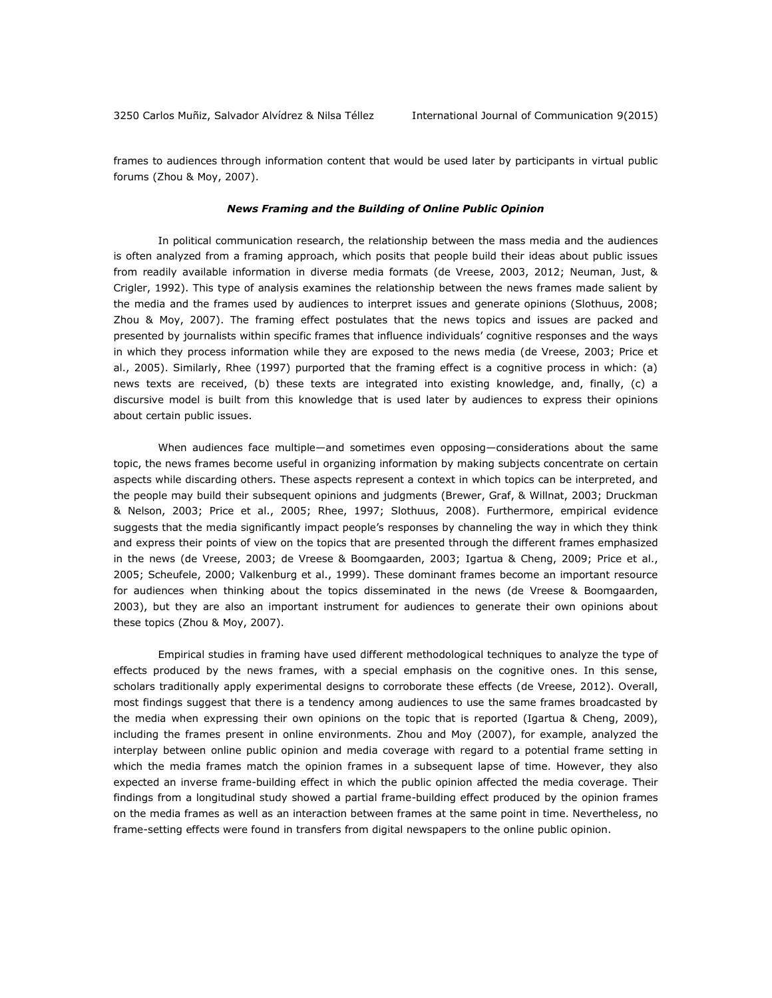frames to audiences through information content that would be used later by participants in virtual public forums (Zhou & Moy, 2007).

#### *News Framing and the Building of Online Public Opinion*

In political communication research, the relationship between the mass media and the audiences is often analyzed from a framing approach, which posits that people build their ideas about public issues from readily available information in diverse media formats (de Vreese, 2003, 2012; Neuman, Just, & Crigler, 1992). This type of analysis examines the relationship between the news frames made salient by the media and the frames used by audiences to interpret issues and generate opinions (Slothuus, 2008; Zhou & Moy, 2007). The framing effect postulates that the news topics and issues are packed and presented by journalists within specific frames that influence individuals' cognitive responses and the ways in which they process information while they are exposed to the news media (de Vreese, 2003; Price et al., 2005). Similarly, Rhee (1997) purported that the framing effect is a cognitive process in which: (a) news texts are received, (b) these texts are integrated into existing knowledge, and, finally, (c) a discursive model is built from this knowledge that is used later by audiences to express their opinions about certain public issues.

When audiences face multiple—and sometimes even opposing—considerations about the same topic, the news frames become useful in organizing information by making subjects concentrate on certain aspects while discarding others. These aspects represent a context in which topics can be interpreted, and the people may build their subsequent opinions and judgments (Brewer, Graf, & Willnat, 2003; Druckman & Nelson, 2003; Price et al., 2005; Rhee, 1997; Slothuus, 2008). Furthermore, empirical evidence suggests that the media significantly impact people's responses by channeling the way in which they think and express their points of view on the topics that are presented through the different frames emphasized in the news (de Vreese, 2003; de Vreese & Boomgaarden, 2003; Igartua & Cheng, 2009; Price et al., 2005; Scheufele, 2000; Valkenburg et al., 1999). These dominant frames become an important resource for audiences when thinking about the topics disseminated in the news (de Vreese & Boomgaarden, 2003), but they are also an important instrument for audiences to generate their own opinions about these topics (Zhou & Moy, 2007).

Empirical studies in framing have used different methodological techniques to analyze the type of effects produced by the news frames, with a special emphasis on the cognitive ones. In this sense, scholars traditionally apply experimental designs to corroborate these effects (de Vreese, 2012). Overall, most findings suggest that there is a tendency among audiences to use the same frames broadcasted by the media when expressing their own opinions on the topic that is reported (Igartua & Cheng, 2009), including the frames present in online environments. Zhou and Moy (2007), for example, analyzed the interplay between online public opinion and media coverage with regard to a potential frame setting in which the media frames match the opinion frames in a subsequent lapse of time. However, they also expected an inverse frame-building effect in which the public opinion affected the media coverage. Their findings from a longitudinal study showed a partial frame-building effect produced by the opinion frames on the media frames as well as an interaction between frames at the same point in time. Nevertheless, no frame-setting effects were found in transfers from digital newspapers to the online public opinion.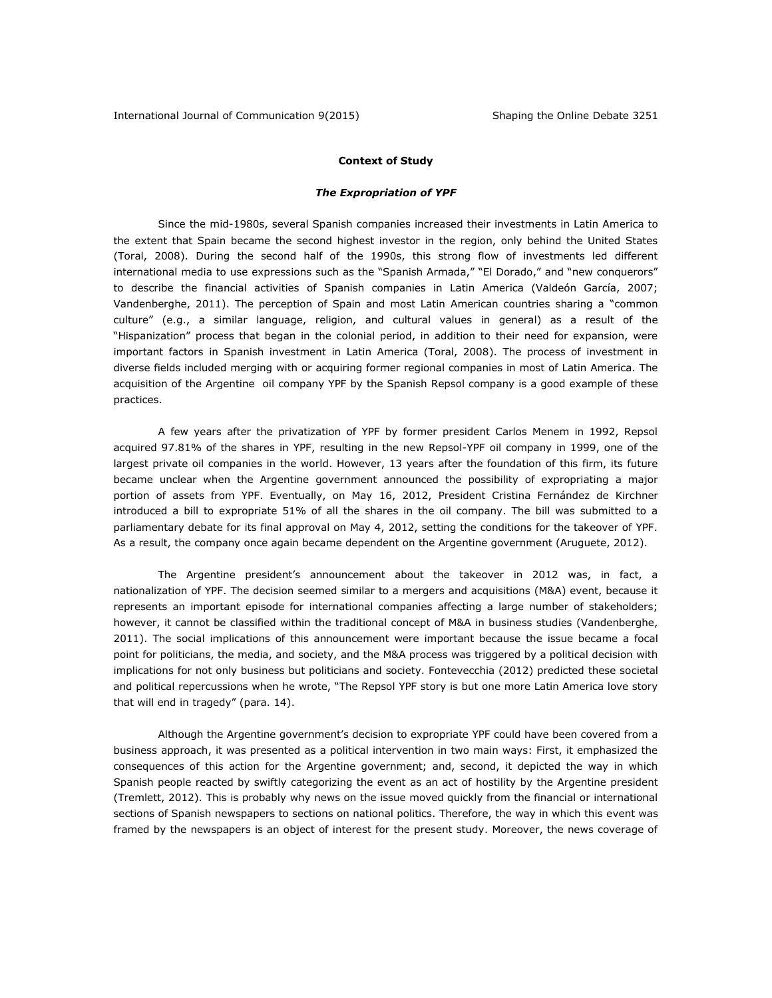## **Context of Study**

## *The Expropriation of YPF*

Since the mid-1980s, several Spanish companies increased their investments in Latin America to the extent that Spain became the second highest investor in the region, only behind the United States (Toral, 2008). During the second half of the 1990s, this strong flow of investments led different international media to use expressions such as the "Spanish Armada," "El Dorado," and "new conquerors" to describe the financial activities of Spanish companies in Latin America (Valdeón García, 2007; Vandenberghe, 2011). The perception of Spain and most Latin American countries sharing a "common culture" (e.g., a similar language, religion, and cultural values in general) as a result of the "Hispanization" process that began in the colonial period, in addition to their need for expansion, were important factors in Spanish investment in Latin America (Toral, 2008). The process of investment in diverse fields included merging with or acquiring former regional companies in most of Latin America. The acquisition of the Argentine oil company YPF by the Spanish Repsol company is a good example of these practices.

A few years after the privatization of YPF by former president Carlos Menem in 1992, Repsol acquired 97.81% of the shares in YPF, resulting in the new Repsol-YPF oil company in 1999, one of the largest private oil companies in the world. However, 13 years after the foundation of this firm, its future became unclear when the Argentine government announced the possibility of expropriating a major portion of assets from YPF. Eventually, on May 16, 2012, President Cristina Fernández de Kirchner introduced a bill to expropriate 51% of all the shares in the oil company. The bill was submitted to a parliamentary debate for its final approval on May 4, 2012, setting the conditions for the takeover of YPF. As a result, the company once again became dependent on the Argentine government (Aruguete, 2012).

The Argentine president's announcement about the takeover in 2012 was, in fact, a nationalization of YPF. The decision seemed similar to a mergers and acquisitions (M&A) event, because it represents an important episode for international companies affecting a large number of stakeholders; however, it cannot be classified within the traditional concept of M&A in business studies (Vandenberghe, 2011). The social implications of this announcement were important because the issue became a focal point for politicians, the media, and society, and the M&A process was triggered by a political decision with implications for not only business but politicians and society. Fontevecchia (2012) predicted these societal and political repercussions when he wrote, "The Repsol YPF story is but one more Latin America love story that will end in tragedy" (para. 14).

Although the Argentine government's decision to expropriate YPF could have been covered from a business approach, it was presented as a political intervention in two main ways: First, it emphasized the consequences of this action for the Argentine government; and, second, it depicted the way in which Spanish people reacted by swiftly categorizing the event as an act of hostility by the Argentine president (Tremlett, 2012). This is probably why news on the issue moved quickly from the financial or international sections of Spanish newspapers to sections on national politics. Therefore, the way in which this event was framed by the newspapers is an object of interest for the present study. Moreover, the news coverage of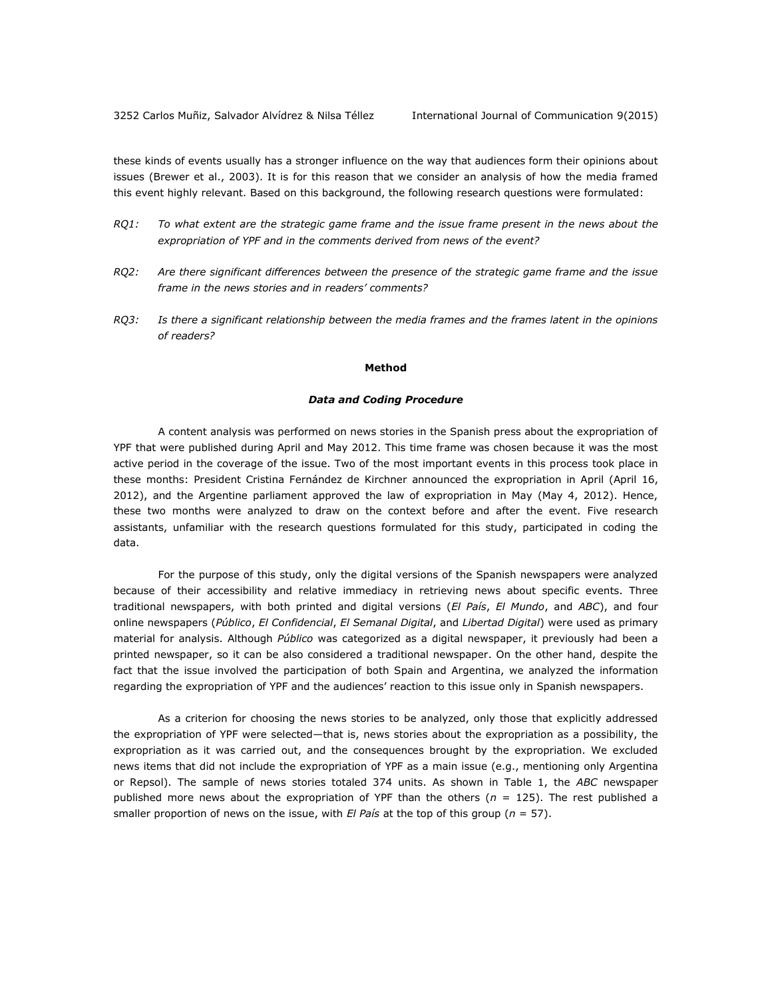these kinds of events usually has a stronger influence on the way that audiences form their opinions about issues (Brewer et al., 2003). It is for this reason that we consider an analysis of how the media framed this event highly relevant. Based on this background, the following research questions were formulated:

- *RQ1: To what extent are the strategic game frame and the issue frame present in the news about the expropriation of YPF and in the comments derived from news of the event?*
- *RQ2: Are there significant differences between the presence of the strategic game frame and the issue frame in the news stories and in readers' comments?*
- *RQ3: Is there a significant relationship between the media frames and the frames latent in the opinions of readers?*

## **Method**

### *Data and Coding Procedure*

A content analysis was performed on news stories in the Spanish press about the expropriation of YPF that were published during April and May 2012. This time frame was chosen because it was the most active period in the coverage of the issue. Two of the most important events in this process took place in these months: President Cristina Fernández de Kirchner announced the expropriation in April (April 16, 2012), and the Argentine parliament approved the law of expropriation in May (May 4, 2012). Hence, these two months were analyzed to draw on the context before and after the event. Five research assistants, unfamiliar with the research questions formulated for this study, participated in coding the data.

For the purpose of this study, only the digital versions of the Spanish newspapers were analyzed because of their accessibility and relative immediacy in retrieving news about specific events. Three traditional newspapers, with both printed and digital versions (*El País*, *El Mundo*, and *ABC*), and four online newspapers (*Público*, *El Confidencial*, *El Semanal Digital*, and *Libertad Digital*) were used as primary material for analysis. Although *Público* was categorized as a digital newspaper, it previously had been a printed newspaper, so it can be also considered a traditional newspaper. On the other hand, despite the fact that the issue involved the participation of both Spain and Argentina, we analyzed the information regarding the expropriation of YPF and the audiences' reaction to this issue only in Spanish newspapers.

As a criterion for choosing the news stories to be analyzed, only those that explicitly addressed the expropriation of YPF were selected—that is, news stories about the expropriation as a possibility, the expropriation as it was carried out, and the consequences brought by the expropriation. We excluded news items that did not include the expropriation of YPF as a main issue (e.g., mentioning only Argentina or Repsol). The sample of news stories totaled 374 units. As shown in Table 1, the *ABC* newspaper published more news about the expropriation of YPF than the others ( $n = 125$ ). The rest published a smaller proportion of news on the issue, with *El País* at the top of this group (*n* = 57).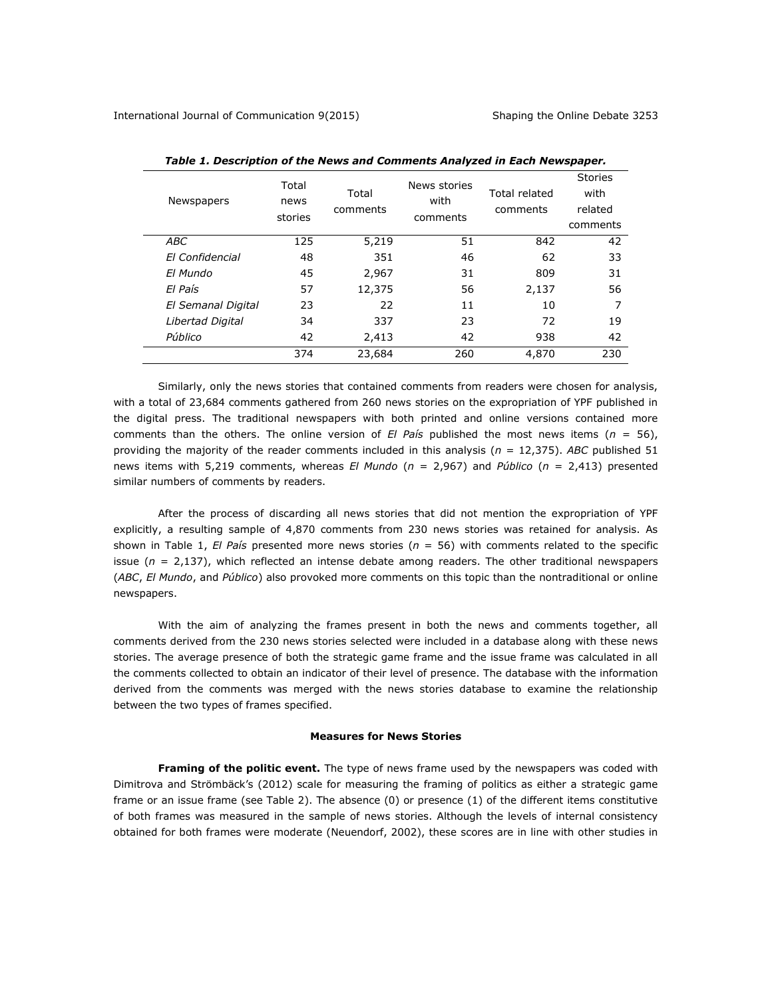| Newspapers         | Total<br>news<br>stories | Total<br>comments | News stories<br>with<br>comments | Total related<br>comments | <b>Stories</b><br>with<br>related<br>comments |
|--------------------|--------------------------|-------------------|----------------------------------|---------------------------|-----------------------------------------------|
| <b>ABC</b>         | 125                      | 5,219             | 51                               | 842                       | 42                                            |
| El Confidencial    | 48                       | 351               | 46                               | 62                        | 33                                            |
| El Mundo           | 45                       | 2,967             | 31                               | 809                       | 31                                            |
| El País            | 57                       | 12,375            | 56                               | 2,137                     | 56                                            |
| El Semanal Digital | 23                       | 22                | 11                               | 10                        | 7                                             |
| Libertad Digital   | 34                       | 337               | 23                               | 72                        | 19                                            |
| Público            | 42                       | 2,413             | 42                               | 938                       | 42                                            |
|                    | 374                      | 23,684            | 260                              | 4,870                     | 230                                           |

*Table 1. Description of the News and Comments Analyzed in Each Newspaper.*

Similarly, only the news stories that contained comments from readers were chosen for analysis, with a total of 23,684 comments gathered from 260 news stories on the expropriation of YPF published in the digital press. The traditional newspapers with both printed and online versions contained more comments than the others. The online version of  $El$  País published the most news items ( $n = 56$ ), providing the majority of the reader comments included in this analysis (*n* = 12,375). *ABC* published 51 news items with 5,219 comments, whereas *El Mundo* (*n* = 2,967) and *Público* (*n* = 2,413) presented similar numbers of comments by readers.

After the process of discarding all news stories that did not mention the expropriation of YPF explicitly, a resulting sample of 4,870 comments from 230 news stories was retained for analysis. As shown in Table 1, *El País* presented more news stories (*n* = 56) with comments related to the specific issue (*n* = 2,137), which reflected an intense debate among readers. The other traditional newspapers (*ABC*, *El Mundo*, and *Público*) also provoked more comments on this topic than the nontraditional or online newspapers.

With the aim of analyzing the frames present in both the news and comments together, all comments derived from the 230 news stories selected were included in a database along with these news stories. The average presence of both the strategic game frame and the issue frame was calculated in all the comments collected to obtain an indicator of their level of presence. The database with the information derived from the comments was merged with the news stories database to examine the relationship between the two types of frames specified.

## **Measures for News Stories**

**Framing of the politic event.** The type of news frame used by the newspapers was coded with Dimitrova and Strömbäck's (2012) scale for measuring the framing of politics as either a strategic game frame or an issue frame (see Table 2). The absence (0) or presence (1) of the different items constitutive of both frames was measured in the sample of news stories. Although the levels of internal consistency obtained for both frames were moderate (Neuendorf, 2002), these scores are in line with other studies in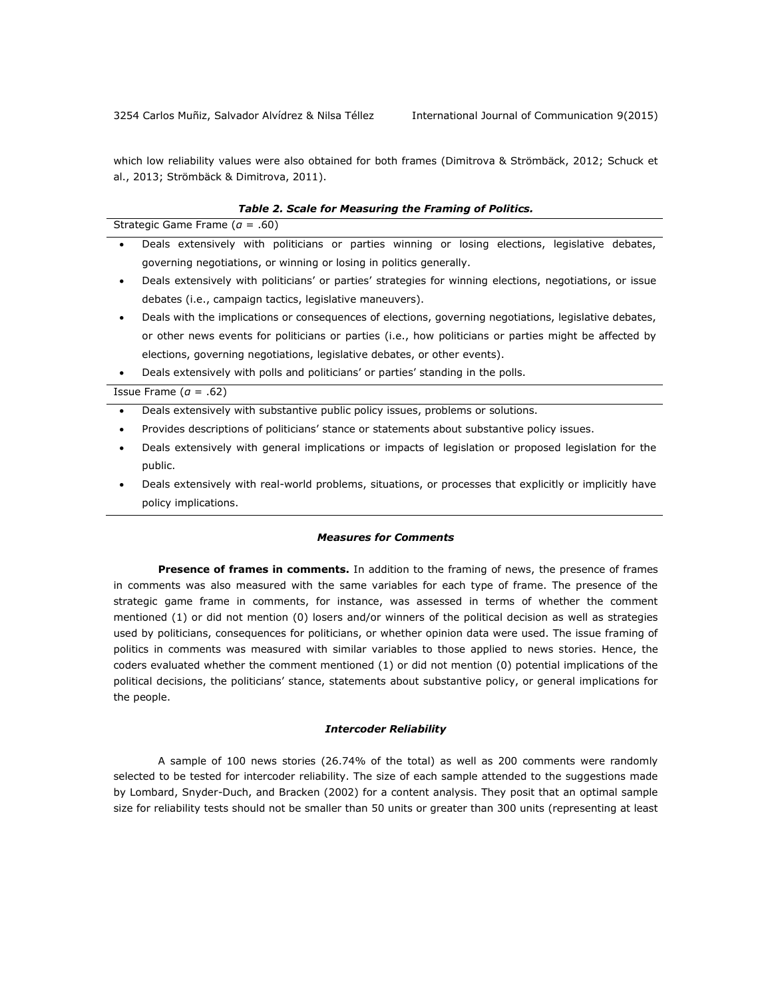which low reliability values were also obtained for both frames (Dimitrova & Strömbäck, 2012; Schuck et al., 2013; Strömbäck & Dimitrova, 2011).

#### *Table 2. Scale for Measuring the Framing of Politics.*

Strategic Game Frame (*α* = .60)

- Deals extensively with politicians or parties winning or losing elections, legislative debates, governing negotiations, or winning or losing in politics generally.
- Deals extensively with politicians' or parties' strategies for winning elections, negotiations, or issue debates (i.e., campaign tactics, legislative maneuvers).
- Deals with the implications or consequences of elections, governing negotiations, legislative debates, or other news events for politicians or parties (i.e., how politicians or parties might be affected by elections, governing negotiations, legislative debates, or other events).
- Deals extensively with polls and politicians' or parties' standing in the polls.

Issue Frame (*α* = .62)

- Deals extensively with substantive public policy issues, problems or solutions.
- Provides descriptions of politicians' stance or statements about substantive policy issues.
- Deals extensively with general implications or impacts of legislation or proposed legislation for the public.
- Deals extensively with real-world problems, situations, or processes that explicitly or implicitly have policy implications.

## *Measures for Comments*

**Presence of frames in comments.** In addition to the framing of news, the presence of frames in comments was also measured with the same variables for each type of frame. The presence of the strategic game frame in comments, for instance, was assessed in terms of whether the comment mentioned (1) or did not mention (0) losers and/or winners of the political decision as well as strategies used by politicians, consequences for politicians, or whether opinion data were used. The issue framing of politics in comments was measured with similar variables to those applied to news stories. Hence, the coders evaluated whether the comment mentioned (1) or did not mention (0) potential implications of the political decisions, the politicians' stance, statements about substantive policy, or general implications for the people.

## *Intercoder Reliability*

A sample of 100 news stories (26.74% of the total) as well as 200 comments were randomly selected to be tested for intercoder reliability. The size of each sample attended to the suggestions made by Lombard, Snyder-Duch, and Bracken (2002) for a content analysis. They posit that an optimal sample size for reliability tests should not be smaller than 50 units or greater than 300 units (representing at least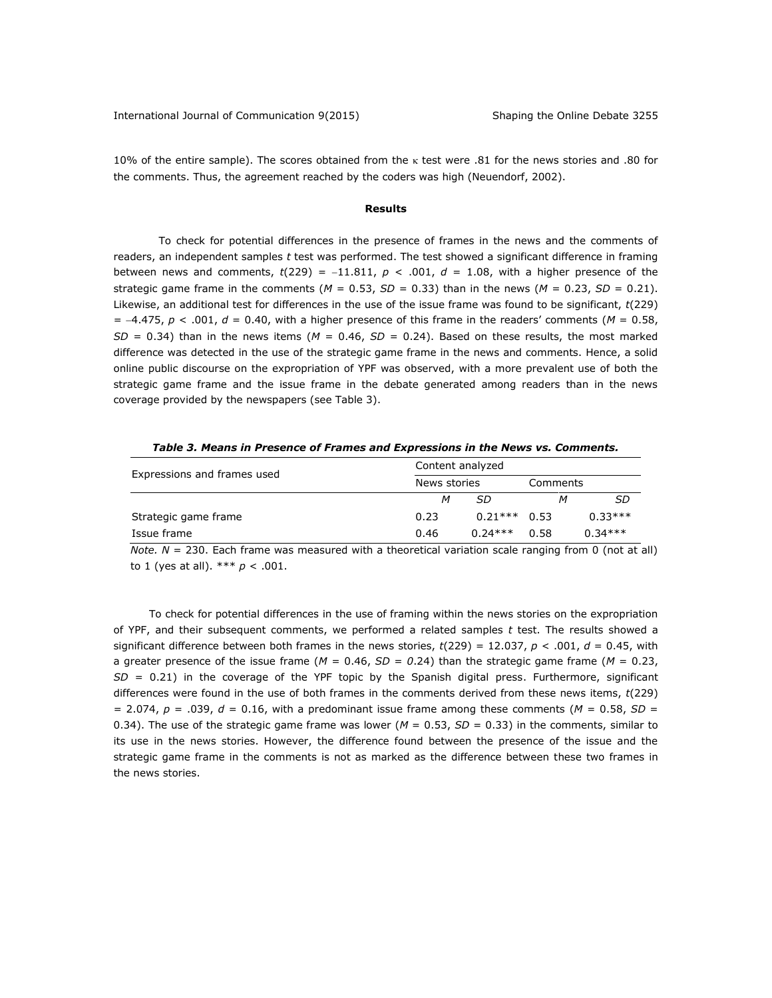10% of the entire sample). The scores obtained from the  $\kappa$  test were .81 for the news stories and .80 for the comments. Thus, the agreement reached by the coders was high (Neuendorf, 2002).

#### **Results**

To check for potential differences in the presence of frames in the news and the comments of readers, an independent samples *t* test was performed. The test showed a significant difference in framing between news and comments,  $t(229) = -11.811$ ,  $p < .001$ ,  $d = 1.08$ , with a higher presence of the strategic game frame in the comments ( $M = 0.53$ ,  $SD = 0.33$ ) than in the news ( $M = 0.23$ ,  $SD = 0.21$ ). Likewise, an additional test for differences in the use of the issue frame was found to be significant, *t*(229)  $= -4.475$ ,  $p < .001$ ,  $d = 0.40$ , with a higher presence of this frame in the readers' comments ( $M = 0.58$ ,  $SD = 0.34$ ) than in the news items ( $M = 0.46$ ,  $SD = 0.24$ ). Based on these results, the most marked difference was detected in the use of the strategic game frame in the news and comments. Hence, a solid online public discourse on the expropriation of YPF was observed, with a more prevalent use of both the strategic game frame and the issue frame in the debate generated among readers than in the news coverage provided by the newspapers (see Table 3).

*Table 3. Means in Presence of Frames and Expressions in the News vs. Comments.*

| Expressions and frames used | Content analyzed |           |          |           |  |
|-----------------------------|------------------|-----------|----------|-----------|--|
|                             | News stories     |           | Comments |           |  |
|                             | М                | SD        |          | SD        |  |
| Strategic game frame        | 0.23             | $0.21***$ | 0.53     | $0.33***$ |  |
| Issue frame                 | 0.46             | $0.24***$ | 0.58     | $0.34***$ |  |

*Note. N* = 230. Each frame was measured with a theoretical variation scale ranging from 0 (not at all) to 1 (yes at all).  $*** p < .001$ .

To check for potential differences in the use of framing within the news stories on the expropriation of YPF, and their subsequent comments, we performed a related samples *t* test. The results showed a significant difference between both frames in the news stories,  $t(229) = 12.037$ ,  $p < .001$ ,  $d = 0.45$ , with a greater presence of the issue frame ( $M = 0.46$ ,  $SD = 0.24$ ) than the strategic game frame ( $M = 0.23$ , *SD* = 0.21) in the coverage of the YPF topic by the Spanish digital press. Furthermore, significant differences were found in the use of both frames in the comments derived from these news items, *t*(229)  $= 2.074$ ,  $p = .039$ ,  $d = 0.16$ , with a predominant issue frame among these comments ( $M = 0.58$ ,  $SD =$ 0.34). The use of the strategic game frame was lower ( $M = 0.53$ ,  $SD = 0.33$ ) in the comments, similar to its use in the news stories. However, the difference found between the presence of the issue and the strategic game frame in the comments is not as marked as the difference between these two frames in the news stories.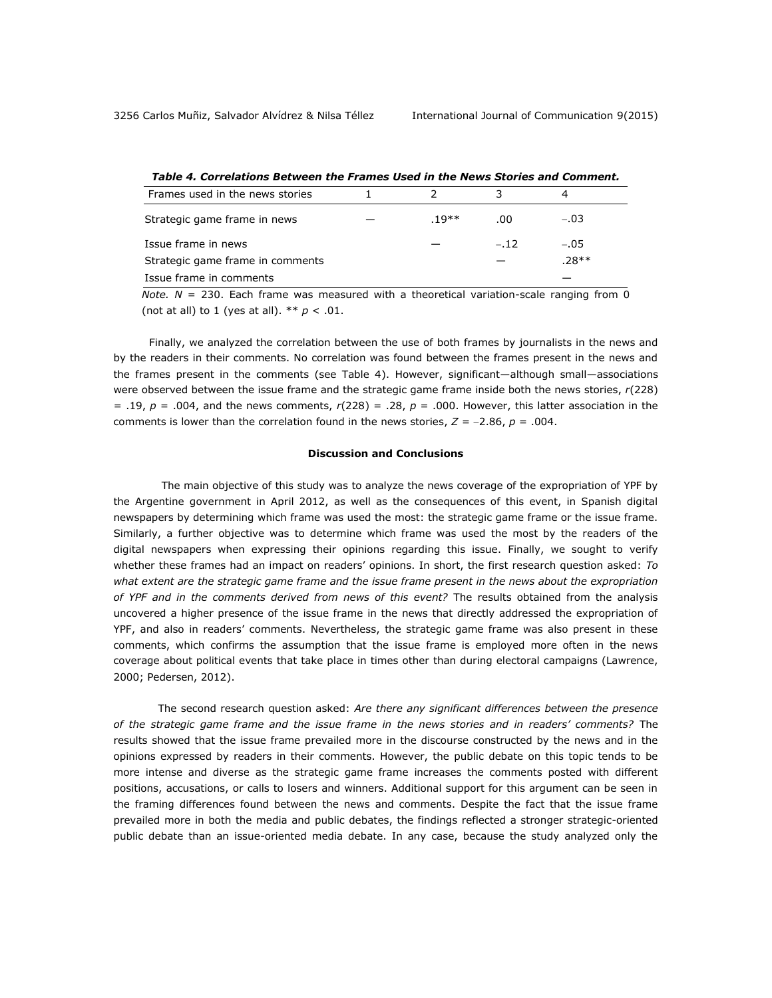| וווטווטים זו שווי נשוים בשווים וויו משכם שטווים וושחדים וושטחים של מוסגות ומוסגות ושם וד |  |       |        |         |  |  |  |
|------------------------------------------------------------------------------------------|--|-------|--------|---------|--|--|--|
| Frames used in the news stories                                                          |  |       |        |         |  |  |  |
| Strategic game frame in news                                                             |  | .19** | .00    | $-.03$  |  |  |  |
| Issue frame in news                                                                      |  |       | $-.12$ | $-.05$  |  |  |  |
| Strategic game frame in comments                                                         |  |       |        | $.28**$ |  |  |  |
| Issue frame in comments                                                                  |  |       |        |         |  |  |  |

*Table 4. Correlations Between the Frames Used in the News Stories and Comment.*

*Note. N* = 230. Each frame was measured with a theoretical variation-scale ranging from 0 (not at all) to 1 (yes at all).  $** p < .01$ .

Finally, we analyzed the correlation between the use of both frames by journalists in the news and by the readers in their comments. No correlation was found between the frames present in the news and the frames present in the comments (see Table 4). However, significant—although small—associations were observed between the issue frame and the strategic game frame inside both the news stories, *r*(228) = .19, *p* = .004, and the news comments, *r*(228) = .28, *p* = .000. However, this latter association in the comments is lower than the correlation found in the news stories,  $Z = -2.86$ ,  $p = .004$ .

## **Discussion and Conclusions**

The main objective of this study was to analyze the news coverage of the expropriation of YPF by the Argentine government in April 2012, as well as the consequences of this event, in Spanish digital newspapers by determining which frame was used the most: the strategic game frame or the issue frame. Similarly, a further objective was to determine which frame was used the most by the readers of the digital newspapers when expressing their opinions regarding this issue. Finally, we sought to verify whether these frames had an impact on readers' opinions. In short, the first research question asked: *To what extent are the strategic game frame and the issue frame present in the news about the expropriation of YPF and in the comments derived from news of this event?* The results obtained from the analysis uncovered a higher presence of the issue frame in the news that directly addressed the expropriation of YPF, and also in readers' comments. Nevertheless, the strategic game frame was also present in these comments, which confirms the assumption that the issue frame is employed more often in the news coverage about political events that take place in times other than during electoral campaigns (Lawrence, 2000; Pedersen, 2012).

The second research question asked: *Are there any significant differences between the presence of the strategic game frame and the issue frame in the news stories and in readers' comments?* The results showed that the issue frame prevailed more in the discourse constructed by the news and in the opinions expressed by readers in their comments. However, the public debate on this topic tends to be more intense and diverse as the strategic game frame increases the comments posted with different positions, accusations, or calls to losers and winners. Additional support for this argument can be seen in the framing differences found between the news and comments. Despite the fact that the issue frame prevailed more in both the media and public debates, the findings reflected a stronger strategic-oriented public debate than an issue-oriented media debate. In any case, because the study analyzed only the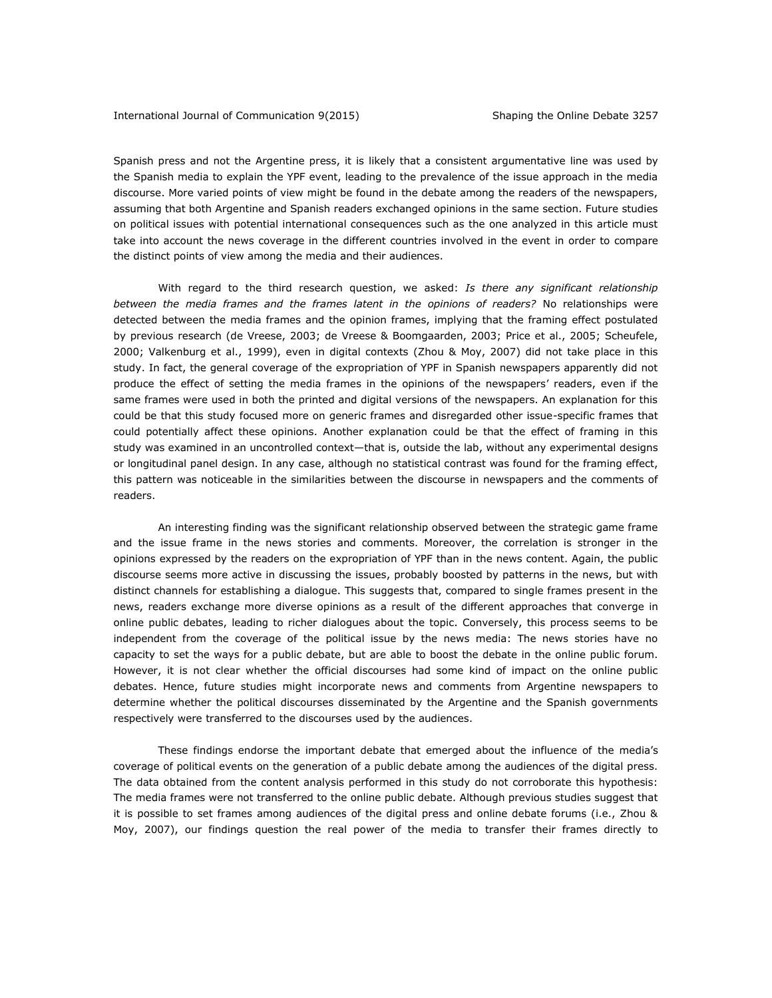Spanish press and not the Argentine press, it is likely that a consistent argumentative line was used by the Spanish media to explain the YPF event, leading to the prevalence of the issue approach in the media discourse. More varied points of view might be found in the debate among the readers of the newspapers, assuming that both Argentine and Spanish readers exchanged opinions in the same section. Future studies on political issues with potential international consequences such as the one analyzed in this article must take into account the news coverage in the different countries involved in the event in order to compare the distinct points of view among the media and their audiences.

With regard to the third research question, we asked: *Is there any significant relationship between the media frames and the frames latent in the opinions of readers?* No relationships were detected between the media frames and the opinion frames, implying that the framing effect postulated by previous research (de Vreese, 2003; de Vreese & Boomgaarden, 2003; Price et al., 2005; Scheufele, 2000; Valkenburg et al., 1999), even in digital contexts (Zhou & Moy, 2007) did not take place in this study. In fact, the general coverage of the expropriation of YPF in Spanish newspapers apparently did not produce the effect of setting the media frames in the opinions of the newspapers' readers, even if the same frames were used in both the printed and digital versions of the newspapers. An explanation for this could be that this study focused more on generic frames and disregarded other issue-specific frames that could potentially affect these opinions. Another explanation could be that the effect of framing in this study was examined in an uncontrolled context—that is, outside the lab, without any experimental designs or longitudinal panel design. In any case, although no statistical contrast was found for the framing effect, this pattern was noticeable in the similarities between the discourse in newspapers and the comments of readers.

An interesting finding was the significant relationship observed between the strategic game frame and the issue frame in the news stories and comments. Moreover, the correlation is stronger in the opinions expressed by the readers on the expropriation of YPF than in the news content. Again, the public discourse seems more active in discussing the issues, probably boosted by patterns in the news, but with distinct channels for establishing a dialogue. This suggests that, compared to single frames present in the news, readers exchange more diverse opinions as a result of the different approaches that converge in online public debates, leading to richer dialogues about the topic. Conversely, this process seems to be independent from the coverage of the political issue by the news media: The news stories have no capacity to set the ways for a public debate, but are able to boost the debate in the online public forum. However, it is not clear whether the official discourses had some kind of impact on the online public debates. Hence, future studies might incorporate news and comments from Argentine newspapers to determine whether the political discourses disseminated by the Argentine and the Spanish governments respectively were transferred to the discourses used by the audiences.

These findings endorse the important debate that emerged about the influence of the media's coverage of political events on the generation of a public debate among the audiences of the digital press. The data obtained from the content analysis performed in this study do not corroborate this hypothesis: The media frames were not transferred to the online public debate. Although previous studies suggest that it is possible to set frames among audiences of the digital press and online debate forums (i.e., Zhou & Moy, 2007), our findings question the real power of the media to transfer their frames directly to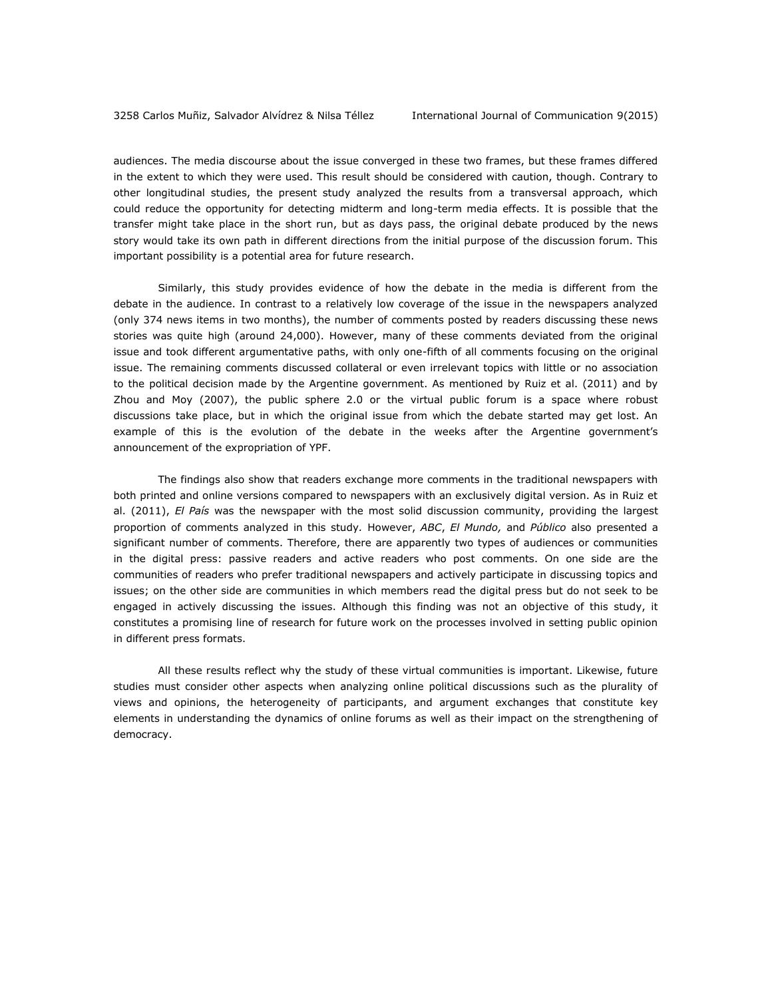audiences. The media discourse about the issue converged in these two frames, but these frames differed in the extent to which they were used. This result should be considered with caution, though. Contrary to other longitudinal studies, the present study analyzed the results from a transversal approach, which could reduce the opportunity for detecting midterm and long-term media effects. It is possible that the transfer might take place in the short run, but as days pass, the original debate produced by the news story would take its own path in different directions from the initial purpose of the discussion forum. This important possibility is a potential area for future research.

Similarly, this study provides evidence of how the debate in the media is different from the debate in the audience. In contrast to a relatively low coverage of the issue in the newspapers analyzed (only 374 news items in two months), the number of comments posted by readers discussing these news stories was quite high (around 24,000). However, many of these comments deviated from the original issue and took different argumentative paths, with only one-fifth of all comments focusing on the original issue. The remaining comments discussed collateral or even irrelevant topics with little or no association to the political decision made by the Argentine government. As mentioned by Ruiz et al. (2011) and by Zhou and Moy (2007), the public sphere 2.0 or the virtual public forum is a space where robust discussions take place, but in which the original issue from which the debate started may get lost. An example of this is the evolution of the debate in the weeks after the Argentine government's announcement of the expropriation of YPF.

The findings also show that readers exchange more comments in the traditional newspapers with both printed and online versions compared to newspapers with an exclusively digital version. As in Ruiz et al. (2011), *El País* was the newspaper with the most solid discussion community, providing the largest proportion of comments analyzed in this study*.* However, *ABC*, *El Mundo,* and *Público* also presented a significant number of comments. Therefore, there are apparently two types of audiences or communities in the digital press: passive readers and active readers who post comments. On one side are the communities of readers who prefer traditional newspapers and actively participate in discussing topics and issues; on the other side are communities in which members read the digital press but do not seek to be engaged in actively discussing the issues. Although this finding was not an objective of this study, it constitutes a promising line of research for future work on the processes involved in setting public opinion in different press formats.

All these results reflect why the study of these virtual communities is important. Likewise, future studies must consider other aspects when analyzing online political discussions such as the plurality of views and opinions, the heterogeneity of participants, and argument exchanges that constitute key elements in understanding the dynamics of online forums as well as their impact on the strengthening of democracy.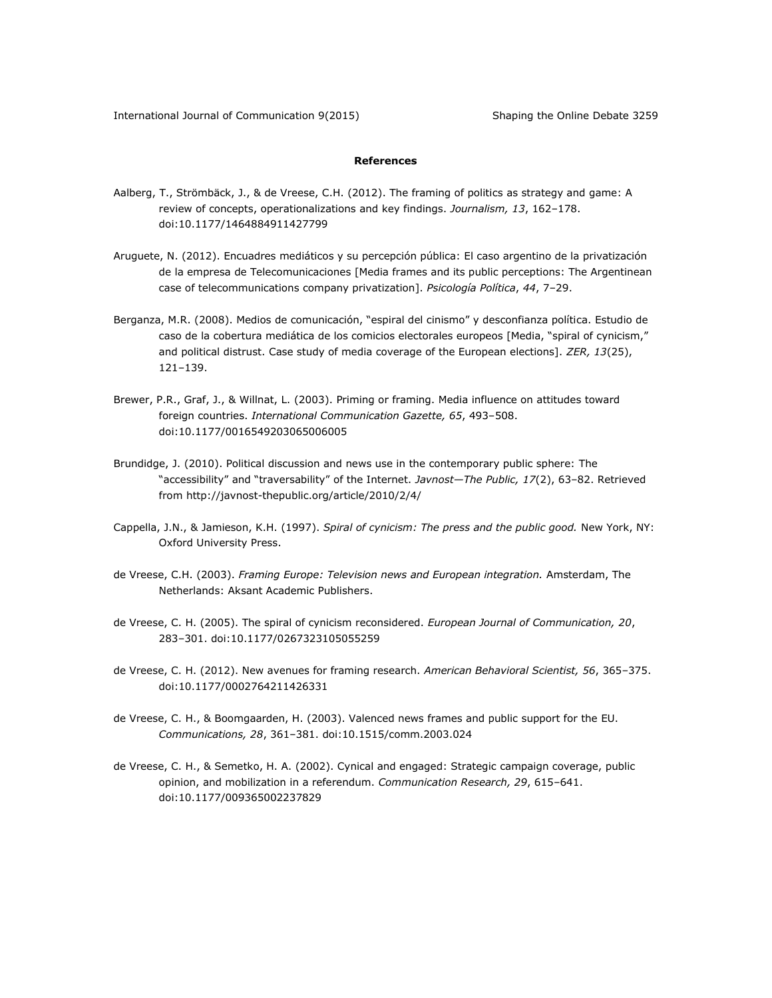## **References**

- Aalberg, T., Strömbäck, J., & de Vreese, C.H. (2012). The framing of politics as strategy and game: A review of concepts, operationalizations and key findings. *Journalism, 13*, 162–178. doi:10.1177/1464884911427799
- Aruguete, N. (2012). Encuadres mediáticos y su percepción pública: El caso argentino de la privatización de la empresa de Telecomunicaciones [Media frames and its public perceptions: The Argentinean case of telecommunications company privatization]. *Psicología Política*, *44*, 7–29.
- Berganza, M.R. (2008). Medios de comunicación, "espiral del cinismo" y desconfianza política. Estudio de caso de la cobertura mediática de los comicios electorales europeos [Media, "spiral of cynicism," and political distrust. Case study of media coverage of the European elections]. *ZER, 13*(25), 121–139.
- Brewer, P.R., Graf, J., & Willnat, L. (2003). Priming or framing. Media influence on attitudes toward foreign countries. *International Communication Gazette, 65*, 493–508. doi:10.1177/0016549203065006005
- Brundidge, J. (2010). Political discussion and news use in the contemporary public sphere: The "accessibility" and "traversability" of the Internet. *Javnost—The Public, 17*(2), 63–82. Retrieved from<http://javnost-thepublic.org/article/2010/2/4/>
- Cappella, J.N., & Jamieson, K.H. (1997). *Spiral of cynicism: The press and the public good.* New York, NY: Oxford University Press.
- de Vreese, C.H. (2003). *Framing Europe: Television news and European integration.* Amsterdam, The Netherlands: Aksant Academic Publishers.
- de Vreese, C. H. (2005). The spiral of cynicism reconsidered. *European Journal of Communication, 20*, 283–301. doi:10.1177/0267323105055259
- de Vreese, C. H. (2012). New avenues for framing research. *American Behavioral Scientist, 56*, 365–375. doi:10.1177/0002764211426331
- de Vreese, C. H., & Boomgaarden, H. (2003). Valenced news frames and public support for the EU. *Communications, 28*, 361–381. doi:10.1515/comm.2003.024
- de Vreese, C. H., & Semetko, H. A. (2002). Cynical and engaged: Strategic campaign coverage, public opinion, and mobilization in a referendum. *Communication Research, 29*, 615–641. doi:10.1177/009365002237829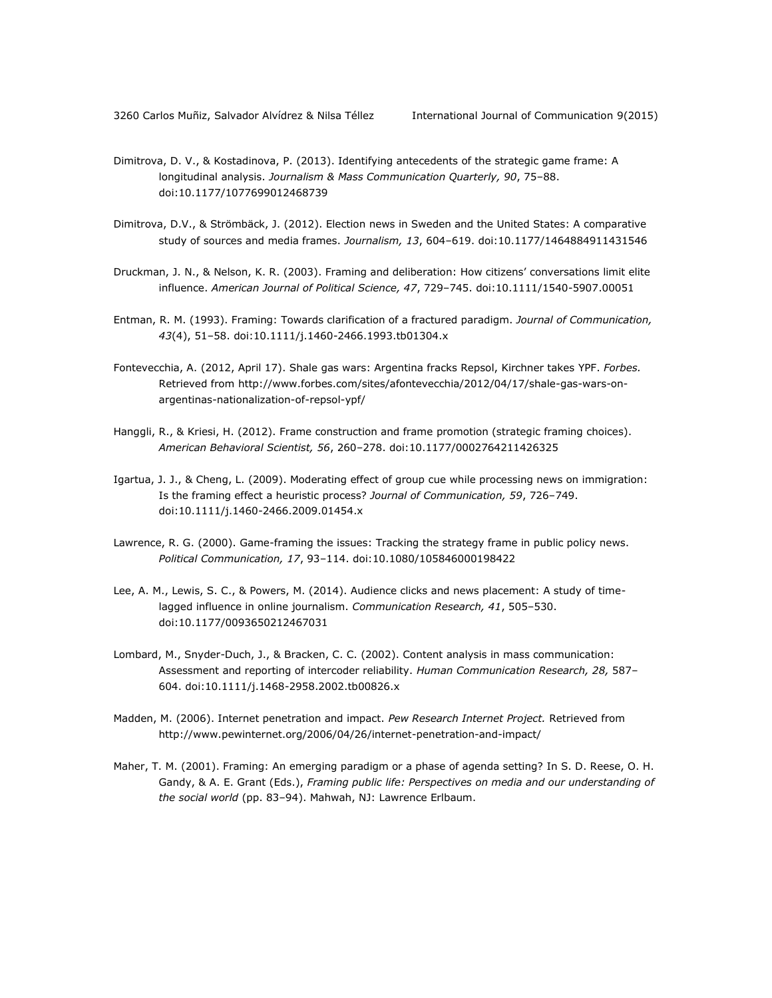- Dimitrova, D. V., & Kostadinova, P. (2013). Identifying antecedents of the strategic game frame: A longitudinal analysis. *Journalism & Mass Communication Quarterly, 90*, 75–88. doi:10.1177/1077699012468739
- Dimitrova, D.V., & Strömbäck, J. (2012). Election news in Sweden and the United States: A comparative study of sources and media frames. *Journalism, 13*, 604–619. doi:10.1177/1464884911431546
- Druckman, J. N., & Nelson, K. R. (2003). Framing and deliberation: How citizens' conversations limit elite influence. *American Journal of Political Science, 47*, 729–745. doi:10.1111/1540-5907.00051
- Entman, R. M. (1993). Framing: Towards clarification of a fractured paradigm. *Journal of Communication, 43*(4), 51–58. doi:10.1111/j.1460-2466.1993.tb01304.x
- Fontevecchia, A. (2012, April 17). Shale gas wars: Argentina fracks Repsol, Kirchner takes YPF. *Forbes.* Retrieved from [http://www.forbes.com/sites/afontevecchia/2012/04/17/shale-gas-wars-on](http://www.forbes.com/sites/afontevecchia/2012/04/17/shale-gas-wars-on-argentinas-nationalization-of-repsol-ypf/)[argentinas-nationalization-of-repsol-ypf/](http://www.forbes.com/sites/afontevecchia/2012/04/17/shale-gas-wars-on-argentinas-nationalization-of-repsol-ypf/)
- Hanggli, R., & Kriesi, H. (2012). Frame construction and frame promotion (strategic framing choices). *American Behavioral Scientist, 56*, 260–278. doi:10.1177/0002764211426325
- Igartua, J. J., & Cheng, L. (2009). Moderating effect of group cue while processing news on immigration: Is the framing effect a heuristic process? *Journal of Communication, 59*, 726–749. doi:10.1111/j.1460-2466.2009.01454.x
- Lawrence, R. G. (2000). Game-framing the issues: Tracking the strategy frame in public policy news. *Political Communication, 17*, 93–114. doi:10.1080/105846000198422
- Lee, A. M., Lewis, S. C., & Powers, M. (2014). Audience clicks and news placement: A study of timelagged influence in online journalism. *Communication Research, 41*, 505–530. doi:10.1177/0093650212467031
- Lombard, M., Snyder-Duch, J., & Bracken, C. C. (2002). Content analysis in mass communication: Assessment and reporting of intercoder reliability. *Human Communication Research, 28,* 587– 604. doi:10.1111/j.1468-2958.2002.tb00826.x
- Madden, M. (2006). Internet penetration and impact. *Pew Research Internet Project.* Retrieved from <http://www.pewinternet.org/2006/04/26/internet-penetration-and-impact/>
- Maher, T. M. (2001). Framing: An emerging paradigm or a phase of agenda setting? In S. D. Reese, O. H. Gandy, & A. E. Grant (Eds.), *Framing public life: Perspectives on media and our understanding of the social world* (pp. 83–94). Mahwah, NJ: Lawrence Erlbaum.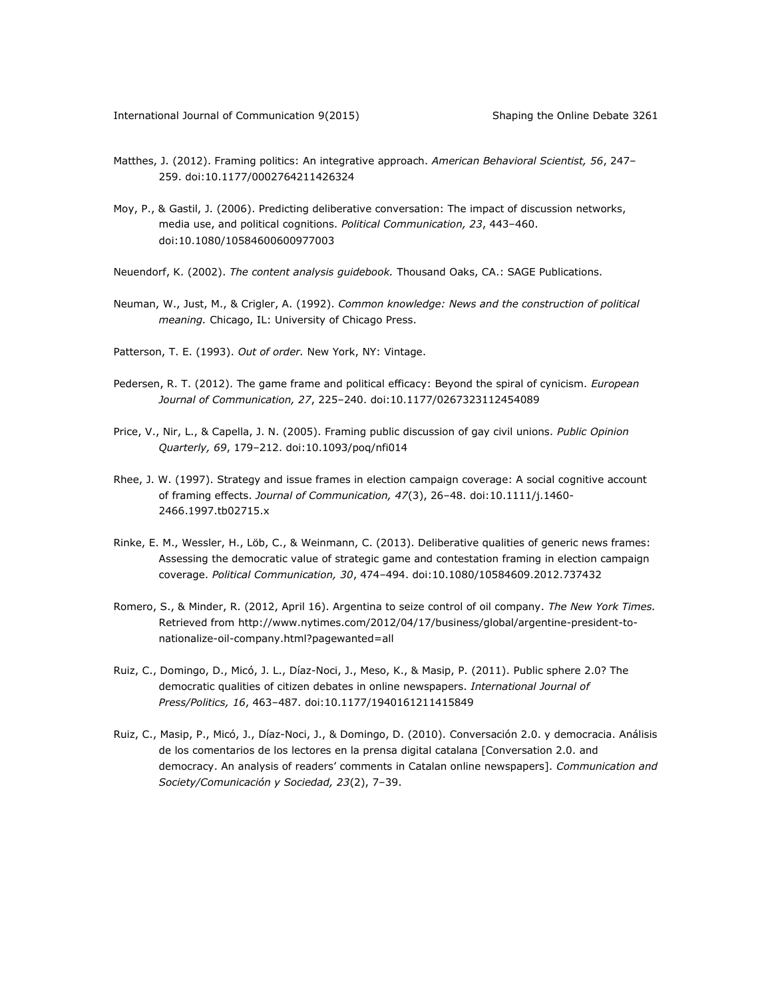- Matthes, J. (2012). Framing politics: An integrative approach. *American Behavioral Scientist, 56*, 247– 259. doi:10.1177/0002764211426324
- Moy, P., & Gastil, J. (2006). Predicting deliberative conversation: The impact of discussion networks, media use, and political cognitions. *Political Communication, 23*, 443–460. doi:10.1080/10584600600977003
- Neuendorf, K. (2002). *The content analysis guidebook.* Thousand Oaks, CA.: SAGE Publications.
- Neuman, W., Just, M., & Crigler, A. (1992). *Common knowledge: News and the construction of political meaning.* Chicago, IL: University of Chicago Press.
- Patterson, T. E. (1993). *Out of order.* New York, NY: Vintage.
- Pedersen, R. T. (2012). The game frame and political efficacy: Beyond the spiral of cynicism. *European Journal of Communication, 27*, 225–240. doi:10.1177/0267323112454089
- Price, V., Nir, L., & Capella, J. N. (2005). Framing public discussion of gay civil unions. *Public Opinion Quarterly, 69*, 179–212. doi:10.1093/poq/nfi014
- Rhee, J. W. (1997). Strategy and issue frames in election campaign coverage: A social cognitive account of framing effects. *Journal of Communication, 47*(3), 26–48. doi:10.1111/j.1460- 2466.1997.tb02715.x
- Rinke, E. M., Wessler, H., Löb, C., & Weinmann, C. (2013). Deliberative qualities of generic news frames: Assessing the democratic value of strategic game and contestation framing in election campaign coverage. *Political Communication, 30*, 474–494. doi:10.1080/10584609.2012.737432
- Romero, S., & Minder, R. (2012, April 16). Argentina to seize control of oil company. *The New York Times.* Retrieved from [http://www.nytimes.com/2012/04/17/business/global/argentine-president-to](http://www.nytimes.com/2012/04/17/business/global/argentine-president-to-nationalize-oil-company.html?pagewanted=all)[nationalize-oil-company.html?pagewanted=all](http://www.nytimes.com/2012/04/17/business/global/argentine-president-to-nationalize-oil-company.html?pagewanted=all)
- Ruiz, C., Domingo, D., Micó, J. L., Díaz-Noci, J., Meso, K., & Masip, P. (2011). Public sphere 2.0? The democratic qualities of citizen debates in online newspapers. *International Journal of Press/Politics, 16*, 463–487. doi:10.1177/1940161211415849
- Ruiz, C., Masip, P., Micó, J., Díaz-Noci, J., & Domingo, D. (2010). Conversación 2.0. y democracia. Análisis de los comentarios de los lectores en la prensa digital catalana [Conversation 2.0. and democracy. An analysis of readers' comments in Catalan online newspapers]. *Communication and Society/Comunicación y Sociedad, 23*(2), 7–39.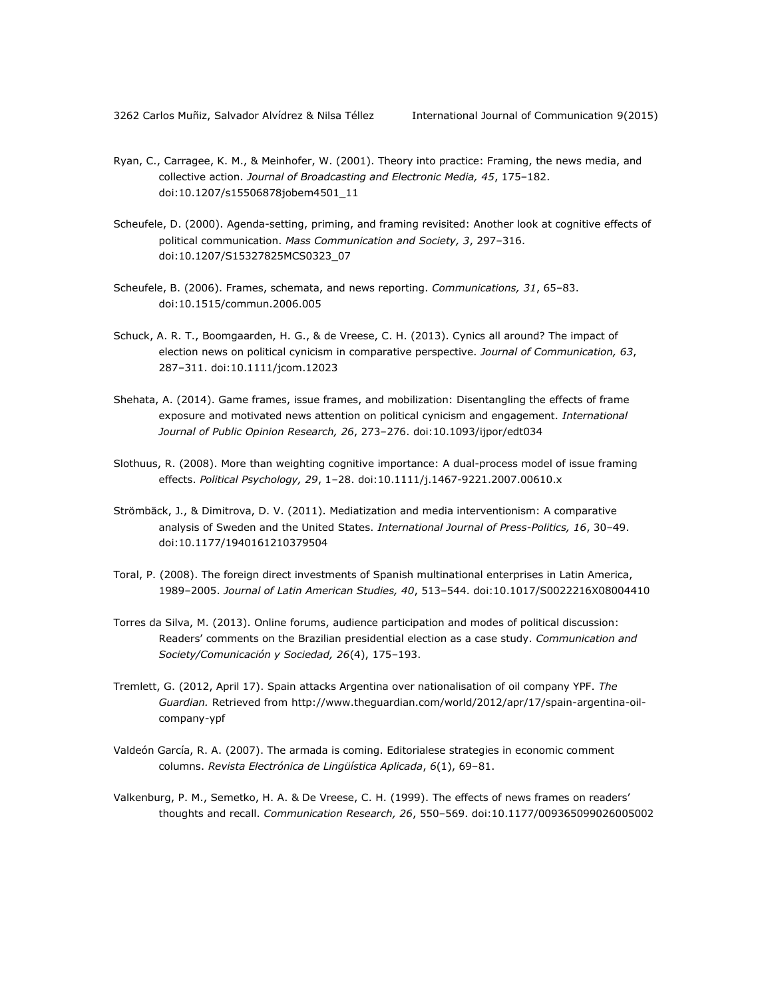- Ryan, C., Carragee, K. M., & Meinhofer, W. (2001). Theory into practice: Framing, the news media, and collective action. *Journal of Broadcasting and Electronic Media, 45*, 175–182. doi:10.1207/s15506878jobem4501\_11
- Scheufele, D. (2000). Agenda-setting, priming, and framing revisited: Another look at cognitive effects of political communication. *Mass Communication and Society, 3*, 297–316. doi:10.1207/S15327825MCS0323\_07
- Scheufele, B. (2006). Frames, schemata, and news reporting. *Communications, 31*, 65–83. doi:10.1515/commun.2006.005
- Schuck, A. R. T., Boomgaarden, H. G., & de Vreese, C. H. (2013). Cynics all around? The impact of election news on political cynicism in comparative perspective. *Journal of Communication, 63*, 287–311. doi:10.1111/jcom.12023
- Shehata, A. (2014). Game frames, issue frames, and mobilization: Disentangling the effects of frame exposure and motivated news attention on political cynicism and engagement. *International Journal of Public Opinion Research, 26*, 273–276. doi:10.1093/ijpor/edt034
- Slothuus, R. (2008). More than weighting cognitive importance: A dual-process model of issue framing effects. *Political Psychology, 29*, 1–28. doi:10.1111/j.1467-9221.2007.00610.x
- Strömbäck, J., & Dimitrova, D. V. (2011). Mediatization and media interventionism: A comparative analysis of Sweden and the United States. *International Journal of Press-Politics, 16*, 30–49. doi:10.1177/1940161210379504
- Toral, P. (2008). The foreign direct investments of Spanish multinational enterprises in Latin America, 1989–2005. *Journal of Latin American Studies, 40*, 513–544. doi:10.1017/S0022216X08004410
- Torres da Silva, M. (2013). Online forums, audience participation and modes of political discussion: Readers' comments on the Brazilian presidential election as a case study. *Communication and Society/Comunicación y Sociedad, 26*(4), 175–193.
- Tremlett, G. (2012, April 17). Spain attacks Argentina over nationalisation of oil company YPF. *The Guardian.* Retrieved from [http://www.theguardian.com/world/2012/apr/17/spain-argentina-oil](http://www.theguardian.com/world/2012/apr/17/spain-argentina-oil-company-ypf)[company-ypf](http://www.theguardian.com/world/2012/apr/17/spain-argentina-oil-company-ypf)
- Valdeón García, R. A. (2007). The armada is coming. Editorialese strategies in economic comment columns. *Revista Electrónica de Lingüística Aplicada*, *6*(1), 69–81.
- Valkenburg, P. M., Semetko, H. A. & De Vreese, C. H. (1999). The effects of news frames on readers' thoughts and recall. *Communication Research, 26*, 550–569. doi:10.1177/009365099026005002